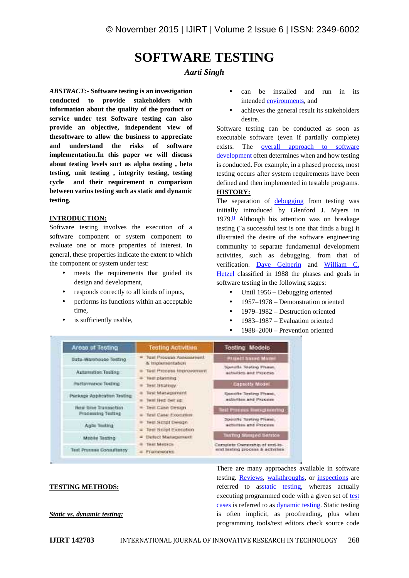# **SOFTWARE TESTING**

# *Aarti Singh*

*ABSTRACT:-* **Software testing is an investigation conducted to provide stakeholders with information about the quality of the product or service under test Software testing can also provide an objective, independent view of thesoftware to allow the business to appreciate and understand the risks of software implementation.In this paper we will discuss about testing levels suct as alpha testing , beta testing, unit testing , integrity testing, testing cycle and their requirement n comparison between varius testing such as static and dynamic testing.**

#### **INTRODUCTION:**

Software testing involves the execution of a software component or system component to evaluate one or more properties of interest. In general, these properties indicate the extent to which the component or system under test:

- meets the requirements that guided its design and development,
- responds correctly to all kinds of inputs,
- performs its functions within an acceptable time,
- is sufficiently usable,
- can be installed and run in its intended environments, and
- achieves the general result its stakeholders desire.

Software testing can be conducted as soon as executable software (even if partially complete) exists. The overall approach to software development often determines when and how testing is conducted. For example, in a phased process, most testing occurs after system requirements have been defined and then implemented in testable programs. **HISTORY:**

The separation of debugging from testing was initially introduced by Glenford J. Myers in 1979. $\Box$  Although his attention was on breakage testing ("a successful test is one that finds a bug) it illustrated the desire of the software engineering community to separate fundamental development activities, such as debugging, from that of verification. Dave Gelperin and William C. Hetzel classified in 1988 the phases and goals in software testing in the following stages:

- Until 1956 Debugging oriented
- 1957–1978 Demonstration oriented
- 1979–1982 Destruction oriented
- 1983–1987 Evaluation oriented
- 1988–2000 Prevention oriented



## **TESTING METHODS:**

#### *Static vs. dynamic testing:*

There are many approaches available in software testing. Reviews, walkthroughs, or inspections are referred to asstatic testing, whereas actually executing programmed code with a given set of test cases is referred to as dynamic testing. Static testing is often implicit, as proofreading, plus when programming tools/text editors check source code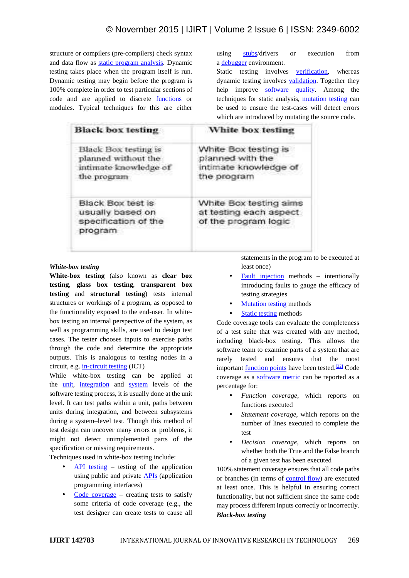structure or compilers (pre-compilers) check syntax and data flow as static program analysis. Dynamic testing takes place when the program itself is run. Dynamic testing may begin before the program is 100% complete in order to test particular sections of code and are applied to discrete functions or modules. Typical techniques for this are either

stubs/drivers or execution from a debugger environment.

Static testing involves verification, whereas dynamic testing involves validation. Together they help improve software quality. Among the techniques for static analysis, mutation testing can be used to ensure the test-cases will detect errors which are introduced by mutating the source code.

| <b>Black box testing</b>                                                            | White box testing                                                                |
|-------------------------------------------------------------------------------------|----------------------------------------------------------------------------------|
| Black Box testing is<br>planned without the<br>intimate knowledge of<br>the program | White Box testing is<br>planned with the<br>intimate knowledge of<br>the program |
| Black Box test is<br>usually based on<br>specification of the<br>program            | White Box testing aims<br>at testing each aspect<br>of the program logic         |

# *White-box testing*

**White-box testing** (also known as **clear box testing**, **glass box testing**, **transparent box testing** and **structural testing**) tests internal structures or workings of a program, as opposed to the functionality exposed to the end-user. In white box testing an internal perspective of the system, as well as programming skills, are used to design test cases. The tester chooses inputs to exercise paths through the code and determine the appropriate outputs. This is analogous to testing nodes in a circuit, e.g. in-circuit testing (ICT)

While white-box testing can be applied at the unit, integration and system levels of the software testing process, it is usually done at the unit level. It can test paths within a unit, paths between units during integration, and between subsystems during a system–level test. Though this method of test design can uncover many errors or problems, it might not detect unimplemented parts of the specification or missing requirements.

Techniques used in white-box testing include:

- API testing testing of the application using public and private APIs (application programming interfaces)
- $\bullet$  Code coverage creating tests to satisfy some criteria of code coverage (e.g., the test designer can create tests to cause all

statements in the program to be executed at least once)

- Fault injection methods intentionally introducing faults to gauge the efficacy of testing strategies
- Mutation testing methods
- Static testing methods

Code coverage tools can evaluate the completeness of a test suite that was created with any method, including black-box testing. This allows the software team to examine parts of a system that are rarely tested and ensures that the most important function points have been tested.<sup>[22]</sup> Code coverage as a software metric can be reported as a percentage for:

- *Function coverage*, which reports on functions executed
- *Statement coverage*, which reports on the number of lines executed to complete the test
- *Decision coverage*, which reports on whether both the True and the False branch of a given test has been executed

100% statement coverage ensures that all code paths or branches (in terms of control flow) are executed at least once. This is helpful in ensuring correct functionality, but not sufficient since the same code may process different inputs correctly or incorrectly. *Black-box testing*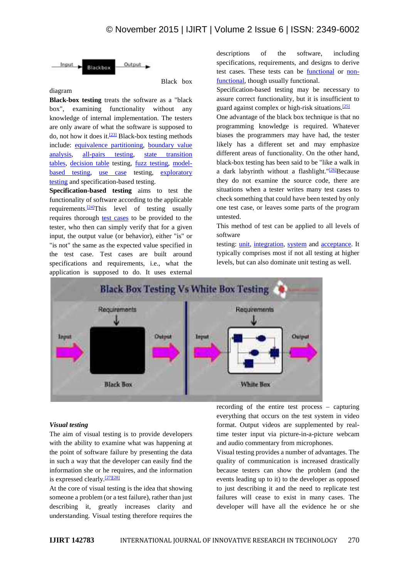

diagram

Black box

**Black-box testing** treats the software as a "black box", examining functionality without any knowledge of internal implementation. The testers are only aware of what the software is supposed to do, not how it does it.<sup>[23]</sup> Black-box testing methods include: equivalence partitioning, boundary value analysis, all-pairs testing, state transition tables, decision table testing, fuzz testing, model based testing, use case testing, exploratory testing and specification-based testing.

**Specification-based testing** aims to test the functionality of software according to the applicable requirements.[24]This level of testing usually requires thorough test cases to be provided to the tester, who then can simply verify that for a given input, the output value (or behavior), either "is" or "is not" the same as the expected value specified in the test case. Test cases are built around specifications and requirements, i.e., what the application is supposed to do. It uses external

descriptions of the software, including specifications, requirements, and designs to derive test cases. These tests can be functional or nonfunctional, though usually functional.

Specification-based testing may be necessary to assure correct functionality, but it is insufficient to guard against complex or high-risk situations.<sup>[25]</sup>

One advantage of the black box technique is that no programming knowledge is required. Whatever biases the programmers may have had, the tester likely has a different set and may emphasize different areas of functionality. On the other hand, black-box testing has been said to be "like a walk in a dark labyrinth without a flashlight." $[26]$ Because they do not examine the source code, there are situations when a tester writes many test cases to check something that could have been tested by only one test case, or leaves some parts of the program untested.

This method of test can be applied to all levels of software

testing: unit, integration, system and acceptance. It typically comprises most if not all testing at higher levels, but can also dominate unit testing as well.



#### *Visual testing*

The aim of visual testing is to provide developers with the ability to examine what was happening at the point of software failure by presenting the data in such a way that the developer can easily find the information she or he requires, and the information is expressed clearly.[27][28]

At the core of visual testing is the idea that showing someone a problem (or a test failure), rather than just describing it, greatly increases clarity and understanding. Visual testing therefore requires the

recording of the entire test process – capturing everything that occurs on the test system in video format. Output videos are supplemented by realtime tester input via picture-in-a-picture webcam and audio commentary from microphones.

Visual testing provides a number of advantages. The quality of communication is increased drastically because testers can show the problem (and the events leading up to it) to the developer as opposed to just describing it and the need to replicate test failures will cease to exist in many cases. The developer will have all the evidence he or she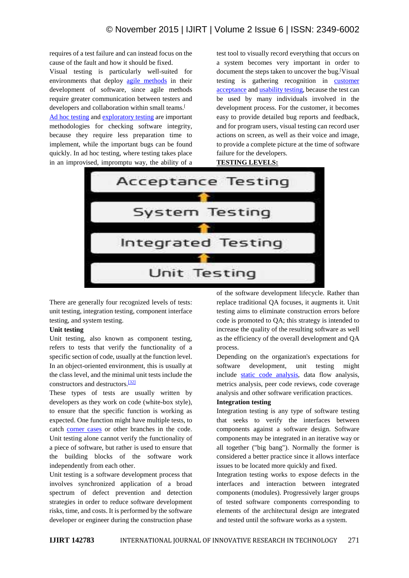requires of a test failure and can instead focus on the cause of the fault and how it should be fixed.

Visual testing is particularly well-suited for environments that deploy agile methods in their development of software, since agile methods require greater communication between testers and developers and collaboration within small teams.<sup>[1]</sup>

Ad hoc testing and exploratory testing are important methodologies for checking software integrity, because they require less preparation time to implement, while the important bugs can be found quickly. In ad hoc testing, where testing takes place in an improvised, impromptu way, the ability of a

test tool to visually record everything that occurs on a system becomes very important in order to document the steps taken to uncover the bug.<sup>[Visual]</sup> testing is gathering recognition in customer acceptance and usability testing, because the test can be used by many individuals involved in the development process. For the customer, it becomes easy to provide detailed bug reports and feedback, and for program users, visual testing can record user actions on screen, as well as their voice and image, to provide a complete picture at the time of software failure for the developers.

## **TESTING LEVELS:**



There are generally four recognized levels of tests: unit testing, integration testing, component interface testing, and system testing.

# **Unit testing**

Unit testing, also known as component testing, refers to tests that verify the functionality of a specific section of code, usually at the function level. In an object-oriented environment, this is usually at the class level, and the minimal unit tests include the constructors and destructors.[32]

These types of tests are usually written by developers as they work on code (white-box style), to ensure that the specific function is working as expected. One function might have multiple tests, to catch corner cases or other branches in the code. Unit testing alone cannot verify the functionality of a piece of software, but rather is used to ensure that the building blocks of the software work independently from each other.

Unit testing is a software development process that involves synchronized application of a broad spectrum of defect prevention and detection strategies in order to reduce software development risks, time, and costs. It is performed by the software developer or engineer during the construction phase

of the software development lifecycle. Rather than replace traditional QA focuses, it augments it. Unit testing aims to eliminate construction errors before code is promoted to QA; this strategy is intended to increase the quality of the resulting software as well as the efficiency of the overall development and QA process.

Depending on the organization's expectations for software development, unit testing might include static code analysis, data flow analysis, metrics analysis, peer code reviews, code coverage analysis and other software verification practices.

# **Integration testing**

Integration testing is any type of software testing that seeks to verify the interfaces between components against a software design. Software components may be integrated in an iterative way or all together ("big bang"). Normally the former is considered a better practice since it allows interface issues to be located more quickly and fixed.

Integration testing works to expose defects in the interfaces and interaction between integrated components (modules). Progressively larger groups of tested software components corresponding to elements of the architectural design are integrated and tested until the software works as a system.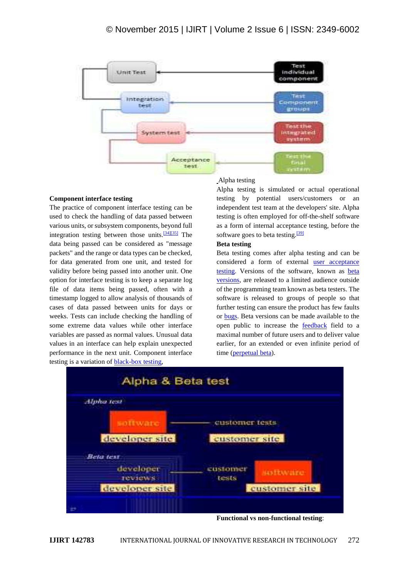

### **Component interface testing**

The practice of component interface testing can be used to check the handling of data passed between various units, or subsystem components, beyond full integration testing between those units.<sup>[34][35]</sup> The data being passed can be considered as "message packets" and the range or data types can be checked, for data generated from one unit, and tested for validity before being passed into another unit. One option for interface testing is to keep a separate log file of data items being passed, often with a timestamp logged to allow analysis of thousands of cases of data passed between units for days or weeks. Tests can include checking the handling of some extreme data values while other interface variables are passed as normal values. Unusual data values in an interface can help explain unexpected performance in the next unit. Component interface testing is a variation of **black-box** testing,

#### Alpha testing

Alpha testing is simulated or actual operational testing by potential users/customers or an independent test team at the developers' site. Alpha testing is often employed for off-the-shelf software as a form of internal acceptance testing, before the software goes to beta testing.<sup>[39]</sup>

# **Beta testing**

Beta testing comes after alpha testing and can be considered a form of external user acceptance testing. Versions of the software, known as beta versions, are released to a limited audience outside of the programming team known as beta testers. The software is released to groups of people so that further testing can ensure the product has few faults or bugs. Beta versions can be made available to the open public to increase the feedback field to a maximal number of future users and to deliver value earlier, for an extended or even infinite period of time (perpetual beta).



**Functional vs non-functional testing**: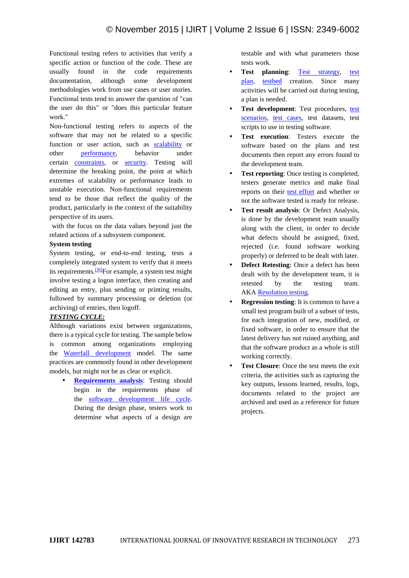Functional testing refers to activities that verify a specific action or function of the code. These are usually found in the code requirements documentation, although some development methodologies work from use cases or user stories. Functional tests tend to answer the question of "can the user do this" or "does this particular feature work."

Non-functional testing refers to aspects of the software that may not be related to a specific function or user action, such as scalability or other performance, behavior under certain constraints, or security. Testing will determine the breaking point, the point at which extremes of scalability or performance leads to unstable execution. Non-functional requirements tend to be those that reflect the quality of the product, particularly in the context of the suitability perspective of its users.

with the focus on the data values beyond just the related actions of a subsystem component.

#### **System testing**

System testing, or end-to-end testing, tests a completely integrated system to verify that it meets its requirements.<sup>[36]</sup>For example, a system test might involve testing a logon interface, then creating and editing an entry, plus sending or printing results, followed by summary processing or deletion (or archiving) of entries, then logoff.

## *TESTING CYCLE:*

Although variations exist between organizations, there is a typical cycle for testing. The sample below is common among organizations employing the Waterfall development model. The same practices are commonly found in other development models, but might not be as clear or explicit.

> **Requirements analysis**: Testing should begin in the requirements phase of the software development life cycle. During the design phase, testers work to determine what aspects of a design are

testable and with what parameters those tests work.

- **Test planning**: Test strategy, test plan, testbed creation. Since many activities will be carried out during testing, a plan is needed.
- Test development: Test procedures, test scenarios, test cases, test datasets, test scripts to use in testing software.
- **Test execution**: Testers execute the software based on the plans and test documents then report any errors found to the development team.
- **Test reporting**: Once testing is completed, testers generate metrics and make final reports on their test effort and whether or not the software tested is ready for release.
- **Test result analysis**: Or Defect Analysis, is done by the development team usually along with the client, in order to decide what defects should be assigned, fixed, rejected (i.e. found software working properly) or deferred to be dealt with later.
- **Defect Retesting**: Once a defect has been dealt with by the development team, it is retested by the testing team. AKA Resolution testing.
- **Regression testing**: It is common to have a small test program built of a subset of tests, for each integration of new, modified, or fixed software, in order to ensure that the latest delivery has not ruined anything, and that the software product as a whole is still working correctly.
- **Test Closure**: Once the test meets the exit criteria, the activities such as capturing the key outputs, lessons learned, results, logs, documents related to the project are archived and used as a reference for future projects.